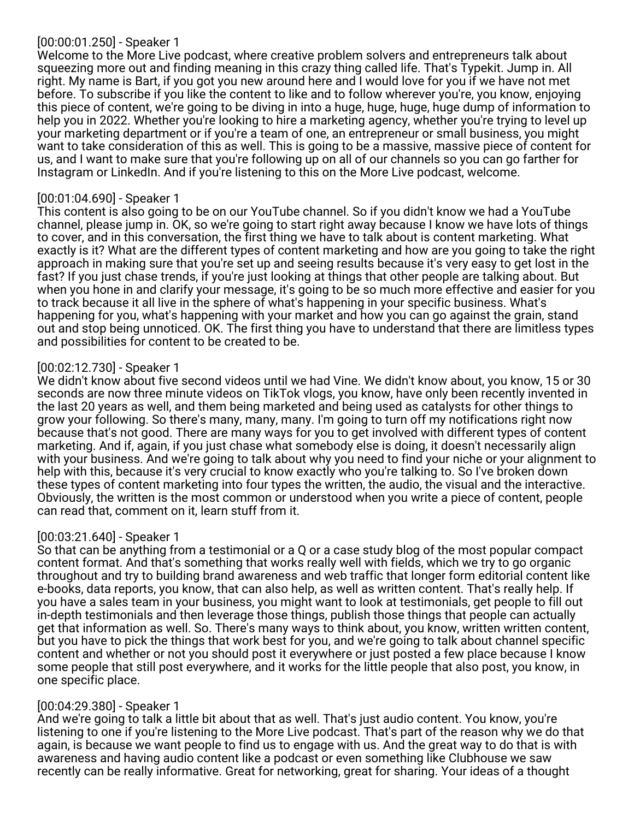## [00:00:01.250] - Speaker 1

Welcome to the More Live podcast, where creative problem solvers and entrepreneurs talk about squeezing more out and finding meaning in this crazy thing called life. That's Typekit. Jump in. All right. My name is Bart, if you got you new around here and I would love for you if we have not met before. To subscribe if you like the content to like and to follow wherever you're, you know, enjoying this piece of content, we're going to be diving in into a huge, huge, huge, huge dump of information to help you in 2022. Whether you're looking to hire a marketing agency, whether you're trying to level up your marketing department or if you're a team of one, an entrepreneur or small business, you might want to take consideration of this as well. This is going to be a massive, massive piece of content for us, and I want to make sure that you're following up on all of our channels so you can go farther for Instagram or LinkedIn. And if you're listening to this on the More Live podcast, welcome.

## [00:01:04.690] - Speaker 1

This content is also going to be on our YouTube channel. So if you didn't know we had a YouTube channel, please jump in. OK, so we're going to start right away because I know we have lots of things to cover, and in this conversation, the first thing we have to talk about is content marketing. What exactly is it? What are the different types of content marketing and how are you going to take the right approach in making sure that you're set up and seeing results because it's very easy to get lost in the fast? If you just chase trends, if you're just looking at things that other people are talking about. But when you hone in and clarify your message, it's going to be so much more effective and easier for you to track because it all live in the sphere of what's happening in your specific business. What's happening for you, what's happening with your market and how you can go against the grain, stand out and stop being unnoticed. OK. The first thing you have to understand that there are limitless types and possibilities for content to be created to be.

## [00:02:12.730] - Speaker 1

We didn't know about five second videos until we had Vine. We didn't know about, you know, 15 or 30 seconds are now three minute videos on TikTok vlogs, you know, have only been recently invented in the last 20 years as well, and them being marketed and being used as catalysts for other things to grow your following. So there's many, many, many. I'm going to turn off my notifications right now because that's not good. There are many ways for you to get involved with different types of content marketing. And if, again, if you just chase what somebody else is doing, it doesn't necessarily align with your business. And we're going to talk about why you need to find your niche or your alignment to help with this, because it's very crucial to know exactly who you're talking to. So I've broken down these types of content marketing into four types the written, the audio, the visual and the interactive. Obviously, the written is the most common or understood when you write a piece of content, people can read that, comment on it, learn stuff from it.

#### [00:03:21.640] - Speaker 1

So that can be anything from a testimonial or a Q or a case study blog of the most popular compact content format. And that's something that works really well with fields, which we try to go organic throughout and try to building brand awareness and web traffic that longer form editorial content like e-books, data reports, you know, that can also help, as well as written content. That's really help. If you have a sales team in your business, you might want to look at testimonials, get people to fill out in-depth testimonials and then leverage those things, publish those things that people can actually get that information as well. So. There's many ways to think about, you know, written written content, but you have to pick the things that work best for you, and we're going to talk about channel specific content and whether or not you should post it everywhere or just posted a few place because I know some people that still post everywhere, and it works for the little people that also post, you know, in one specific place.

#### [00:04:29.380] - Speaker 1

And we're going to talk a little bit about that as well. That's just audio content. You know, you're listening to one if you're listening to the More Live podcast. That's part of the reason why we do that again, is because we want people to find us to engage with us. And the great way to do that is with awareness and having audio content like a podcast or even something like Clubhouse we saw recently can be really informative. Great for networking, great for sharing. Your ideas of a thought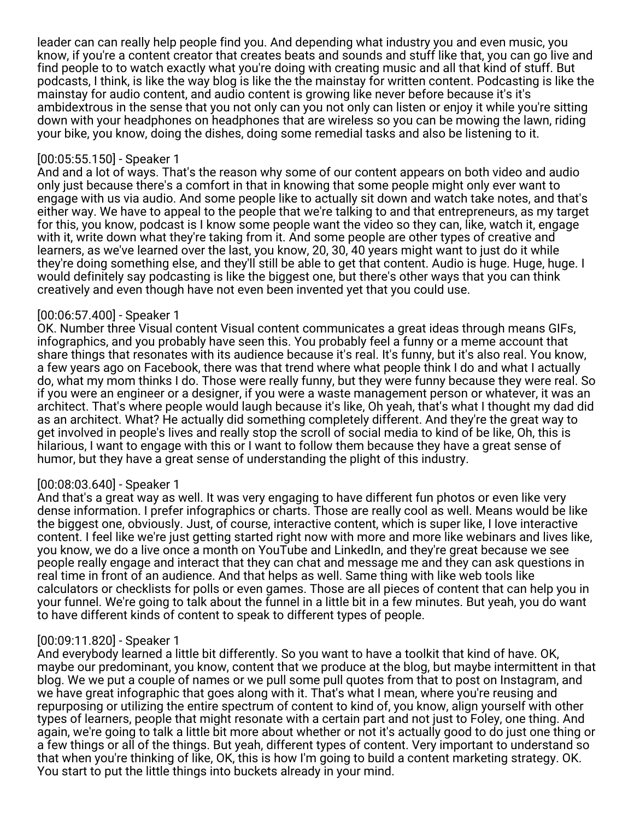leader can can really help people find you. And depending what industry you and even music, you know, if you're a content creator that creates beats and sounds and stuff like that, you can go live and find people to to watch exactly what you're doing with creating music and all that kind of stuff. But podcasts, I think, is like the way blog is like the the mainstay for written content. Podcasting is like the mainstay for audio content, and audio content is growing like never before because it's it's ambidextrous in the sense that you not only can you not only can listen or enjoy it while you're sitting down with your headphones on headphones that are wireless so you can be mowing the lawn, riding your bike, you know, doing the dishes, doing some remedial tasks and also be listening to it.

### [00:05:55.150] - Speaker 1

And and a lot of ways. That's the reason why some of our content appears on both video and audio only just because there's a comfort in that in knowing that some people might only ever want to engage with us via audio. And some people like to actually sit down and watch take notes, and that's either way. We have to appeal to the people that we're talking to and that entrepreneurs, as my target for this, you know, podcast is I know some people want the video so they can, like, watch it, engage with it, write down what they're taking from it. And some people are other types of creative and learners, as we've learned over the last, you know, 20, 30, 40 years might want to just do it while they're doing something else, and they'll still be able to get that content. Audio is huge. Huge, huge. I would definitely say podcasting is like the biggest one, but there's other ways that you can think creatively and even though have not even been invented yet that you could use.

## [00:06:57.400] - Speaker 1

OK. Number three Visual content Visual content communicates a great ideas through means GIFs, infographics, and you probably have seen this. You probably feel a funny or a meme account that share things that resonates with its audience because it's real. It's funny, but it's also real. You know, a few years ago on Facebook, there was that trend where what people think I do and what I actually do, what my mom thinks I do. Those were really funny, but they were funny because they were real. So if you were an engineer or a designer, if you were a waste management person or whatever, it was an architect. That's where people would laugh because it's like, Oh yeah, that's what I thought my dad did as an architect. What? He actually did something completely different. And they're the great way to get involved in people's lives and really stop the scroll of social media to kind of be like, Oh, this is hilarious, I want to engage with this or I want to follow them because they have a great sense of humor, but they have a great sense of understanding the plight of this industry.

## [00:08:03.640] - Speaker 1

And that's a great way as well. It was very engaging to have different fun photos or even like very dense information. I prefer infographics or charts. Those are really cool as well. Means would be like the biggest one, obviously. Just, of course, interactive content, which is super like, I love interactive content. I feel like we're just getting started right now with more and more like webinars and lives like, you know, we do a live once a month on YouTube and LinkedIn, and they're great because we see people really engage and interact that they can chat and message me and they can ask questions in real time in front of an audience. And that helps as well. Same thing with like web tools like calculators or checklists for polls or even games. Those are all pieces of content that can help you in your funnel. We're going to talk about the funnel in a little bit in a few minutes. But yeah, you do want to have different kinds of content to speak to different types of people.

## [00:09:11.820] - Speaker 1

And everybody learned a little bit differently. So you want to have a toolkit that kind of have. OK, maybe our predominant, you know, content that we produce at the blog, but maybe intermittent in that blog. We we put a couple of names or we pull some pull quotes from that to post on Instagram, and we have great infographic that goes along with it. That's what I mean, where you're reusing and repurposing or utilizing the entire spectrum of content to kind of, you know, align yourself with other types of learners, people that might resonate with a certain part and not just to Foley, one thing. And again, we're going to talk a little bit more about whether or not it's actually good to do just one thing or a few things or all of the things. But yeah, different types of content. Very important to understand so that when you're thinking of like, OK, this is how I'm going to build a content marketing strategy. OK. You start to put the little things into buckets already in your mind.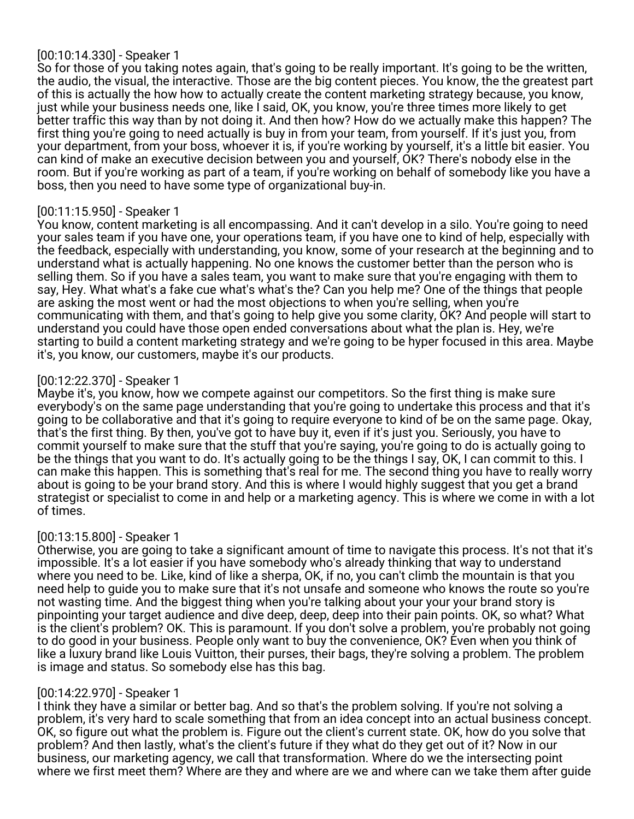# [00:10:14.330] - Speaker 1

So for those of you taking notes again, that's going to be really important. It's going to be the written, the audio, the visual, the interactive. Those are the big content pieces. You know, the the greatest part of this is actually the how how to actually create the content marketing strategy because, you know, just while your business needs one, like I said, OK, you know, you're three times more likely to get better traffic this way than by not doing it. And then how? How do we actually make this happen? The first thing you're going to need actually is buy in from your team, from yourself. If it's just you, from your department, from your boss, whoever it is, if you're working by yourself, it's a little bit easier. You can kind of make an executive decision between you and yourself, OK? There's nobody else in the room. But if you're working as part of a team, if you're working on behalf of somebody like you have a boss, then you need to have some type of organizational buy-in.

## [00:11:15.950] - Speaker 1

You know, content marketing is all encompassing. And it can't develop in a silo. You're going to need your sales team if you have one, your operations team, if you have one to kind of help, especially with the feedback, especially with understanding, you know, some of your research at the beginning and to understand what is actually happening. No one knows the customer better than the person who is selling them. So if you have a sales team, you want to make sure that you're engaging with them to say, Hey. What what's a fake cue what's what's the? Can you help me? One of the things that people are asking the most went or had the most objections to when you're selling, when you're communicating with them, and that's going to help give you some clarity, OK? And people will start to understand you could have those open ended conversations about what the plan is. Hey, we're starting to build a content marketing strategy and we're going to be hyper focused in this area. Maybe it's, you know, our customers, maybe it's our products.

## [00:12:22.370] - Speaker 1

Maybe it's, you know, how we compete against our competitors. So the first thing is make sure everybody's on the same page understanding that you're going to undertake this process and that it's going to be collaborative and that it's going to require everyone to kind of be on the same page. Okay, that's the first thing. By then, you've got to have buy it, even if it's just you. Seriously, you have to commit yourself to make sure that the stuff that you're saying, you're going to do is actually going to be the things that you want to do. It's actually going to be the things I say, OK, I can commit to this. I can make this happen. This is something that's real for me. The second thing you have to really worry about is going to be your brand story. And this is where I would highly suggest that you get a brand strategist or specialist to come in and help or a marketing agency. This is where we come in with a lot of times.

## [00:13:15.800] - Speaker 1

Otherwise, you are going to take a significant amount of time to navigate this process. It's not that it's impossible. It's a lot easier if you have somebody who's already thinking that way to understand where you need to be. Like, kind of like a sherpa, OK, if no, you can't climb the mountain is that you need help to guide you to make sure that it's not unsafe and someone who knows the route so you're not wasting time. And the biggest thing when you're talking about your your your brand story is pinpointing your target audience and dive deep, deep, deep into their pain points. OK, so what? What is the client's problem? OK. This is paramount. If you don't solve a problem, you're probably not going to do good in your business. People only want to buy the convenience, OK? Even when you think of like a luxury brand like Louis Vuitton, their purses, their bags, they're solving a problem. The problem is image and status. So somebody else has this bag.

#### [00:14:22.970] - Speaker 1

I think they have a similar or better bag. And so that's the problem solving. If you're not solving a problem, it's very hard to scale something that from an idea concept into an actual business concept. OK, so figure out what the problem is. Figure out the client's current state. OK, how do you solve that problem? And then lastly, what's the client's future if they what do they get out of it? Now in our business, our marketing agency, we call that transformation. Where do we the intersecting point where we first meet them? Where are they and where are we and where can we take them after guide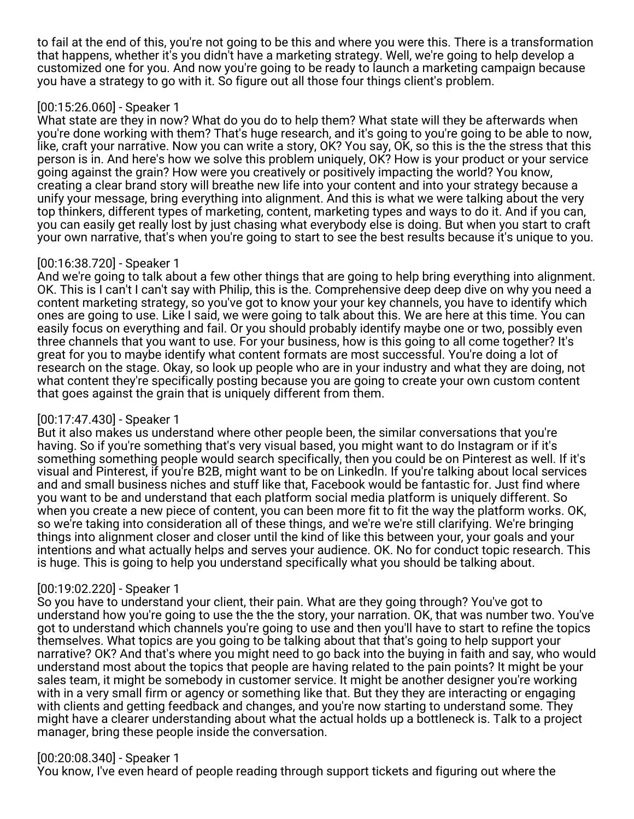to fail at the end of this, you're not going to be this and where you were this. There is a transformation that happens, whether it's you didn't have a marketing strategy. Well, we're going to help develop a customized one for you. And now you're going to be ready to launch a marketing campaign because you have a strategy to go with it. So figure out all those four things client's problem.

# [00:15:26.060] - Speaker 1

What state are they in now? What do you do to help them? What state will they be afterwards when you're done working with them? That's huge research, and it's going to you're going to be able to now, like, craft your narrative. Now you can write a story, OK? You say, OK, so this is the the stress that this person is in. And here's how we solve this problem uniquely, OK? How is your product or your service going against the grain? How were you creatively or positively impacting the world? You know, creating a clear brand story will breathe new life into your content and into your strategy because a unify your message, bring everything into alignment. And this is what we were talking about the very top thinkers, different types of marketing, content, marketing types and ways to do it. And if you can, you can easily get really lost by just chasing what everybody else is doing. But when you start to craft your own narrative, that's when you're going to start to see the best results because it's unique to you.

# [00:16:38.720] - Speaker 1

And we're going to talk about a few other things that are going to help bring everything into alignment. OK. This is I can't I can't say with Philip, this is the. Comprehensive deep deep dive on why you need a content marketing strategy, so you've got to know your your key channels, you have to identify which ones are going to use. Like I said, we were going to talk about this. We are here at this time. You can easily focus on everything and fail. Or you should probably identify maybe one or two, possibly even three channels that you want to use. For your business, how is this going to all come together? It's great for you to maybe identify what content formats are most successful. You're doing a lot of research on the stage. Okay, so look up people who are in your industry and what they are doing, not what content they're specifically posting because you are going to create your own custom content that goes against the grain that is uniquely different from them.

# [00:17:47.430] - Speaker 1

But it also makes us understand where other people been, the similar conversations that you're having. So if you're something that's very visual based, you might want to do Instagram or if it's something something people would search specifically, then you could be on Pinterest as well. If it's visual and Pinterest, if you're B2B, might want to be on LinkedIn. If you're talking about local services and and small business niches and stuff like that, Facebook would be fantastic for. Just find where you want to be and understand that each platform social media platform is uniquely different. So when you create a new piece of content, you can been more fit to fit the way the platform works. OK, so we're taking into consideration all of these things, and we're we're still clarifying. We're bringing things into alignment closer and closer until the kind of like this between your, your goals and your intentions and what actually helps and serves your audience. OK. No for conduct topic research. This is huge. This is going to help you understand specifically what you should be talking about.

# [00:19:02.220] - Speaker 1

So you have to understand your client, their pain. What are they going through? You've got to understand how you're going to use the the the story, your narration. OK, that was number two. You've got to understand which channels you're going to use and then you'll have to start to refine the topics themselves. What topics are you going to be talking about that that's going to help support your narrative? OK? And that's where you might need to go back into the buying in faith and say, who would understand most about the topics that people are having related to the pain points? It might be your sales team, it might be somebody in customer service. It might be another designer you're working with in a very small firm or agency or something like that. But they they are interacting or engaging with clients and getting feedback and changes, and you're now starting to understand some. They might have a clearer understanding about what the actual holds up a bottleneck is. Talk to a project manager, bring these people inside the conversation.

## [00:20:08.340] - Speaker 1

You know, I've even heard of people reading through support tickets and figuring out where the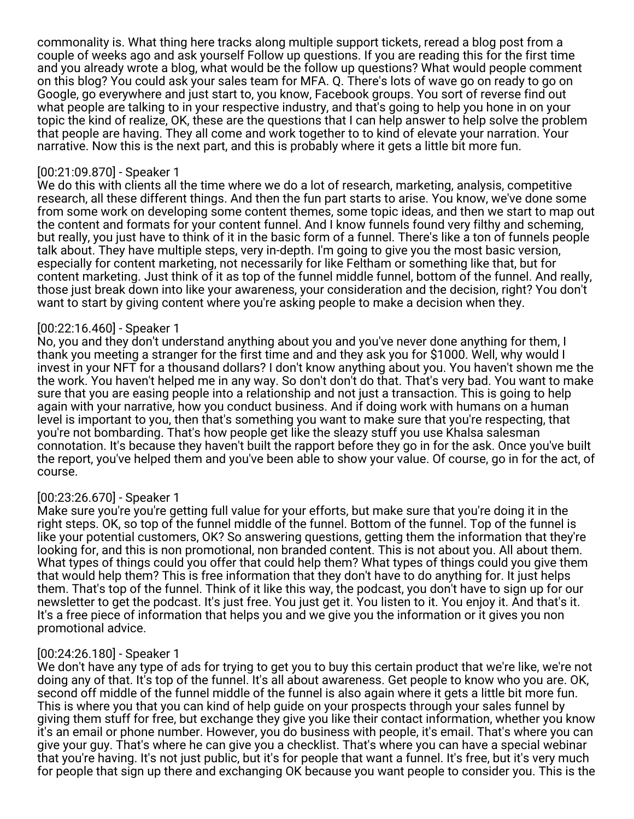commonality is. What thing here tracks along multiple support tickets, reread a blog post from a couple of weeks ago and ask yourself Follow up questions. If you are reading this for the first time and you already wrote a blog, what would be the follow up questions? What would people comment on this blog? You could ask your sales team for MFA. Q. There's lots of wave go on ready to go on Google, go everywhere and just start to, you know, Facebook groups. You sort of reverse find out what people are talking to in your respective industry, and that's going to help you hone in on your topic the kind of realize, OK, these are the questions that I can help answer to help solve the problem that people are having. They all come and work together to to kind of elevate your narration. Your narrative. Now this is the next part, and this is probably where it gets a little bit more fun.

#### [00:21:09.870] - Speaker 1

We do this with clients all the time where we do a lot of research, marketing, analysis, competitive research, all these different things. And then the fun part starts to arise. You know, we've done some from some work on developing some content themes, some topic ideas, and then we start to map out the content and formats for your content funnel. And I know funnels found very filthy and scheming, but really, you just have to think of it in the basic form of a funnel. There's like a ton of funnels people talk about. They have multiple steps, very in-depth. I'm going to give you the most basic version, especially for content marketing, not necessarily for like Feltham or something like that, but for content marketing. Just think of it as top of the funnel middle funnel, bottom of the funnel. And really, those just break down into like your awareness, your consideration and the decision, right? You don't want to start by giving content where you're asking people to make a decision when they.

## [00:22:16.460] - Speaker 1

No, you and they don't understand anything about you and you've never done anything for them, I thank you meeting a stranger for the first time and and they ask you for \$1000. Well, why would I invest in your NFT for a thousand dollars? I don't know anything about you. You haven't shown me the the work. You haven't helped me in any way. So don't don't do that. That's very bad. You want to make sure that you are easing people into a relationship and not just a transaction. This is going to help again with your narrative, how you conduct business. And if doing work with humans on a human level is important to you, then that's something you want to make sure that you're respecting, that you're not bombarding. That's how people get like the sleazy stuff you use Khalsa salesman connotation. It's because they haven't built the rapport before they go in for the ask. Once you've built the report, you've helped them and you've been able to show your value. Of course, go in for the act, of course.

#### [00:23:26.670] - Speaker 1

Make sure you're you're getting full value for your efforts, but make sure that you're doing it in the right steps. OK, so top of the funnel middle of the funnel. Bottom of the funnel. Top of the funnel is like your potential customers, OK? So answering questions, getting them the information that they're looking for, and this is non promotional, non branded content. This is not about you. All about them. What types of things could you offer that could help them? What types of things could you give them that would help them? This is free information that they don't have to do anything for. It just helps them. That's top of the funnel. Think of it like this way, the podcast, you don't have to sign up for our newsletter to get the podcast. It's just free. You just get it. You listen to it. You enjoy it. And that's it. It's a free piece of information that helps you and we give you the information or it gives you non promotional advice.

#### [00:24:26.180] - Speaker 1

We don't have any type of ads for trying to get you to buy this certain product that we're like, we're not doing any of that. It's top of the funnel. It's all about awareness. Get people to know who you are. OK, second off middle of the funnel middle of the funnel is also again where it gets a little bit more fun. This is where you that you can kind of help guide on your prospects through your sales funnel by giving them stuff for free, but exchange they give you like their contact information, whether you know it's an email or phone number. However, you do business with people, it's email. That's where you can give your guy. That's where he can give you a checklist. That's where you can have a special webinar that you're having. It's not just public, but it's for people that want a funnel. It's free, but it's very much for people that sign up there and exchanging OK because you want people to consider you. This is the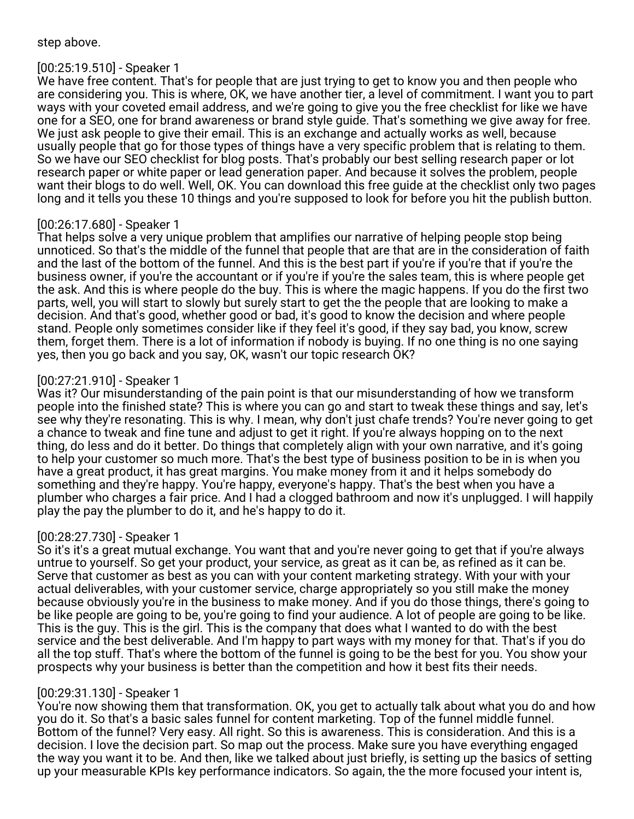## step above.

# [00:25:19.510] - Speaker 1

We have free content. That's for people that are just trying to get to know you and then people who are considering you. This is where, OK, we have another tier, a level of commitment. I want you to part ways with your coveted email address, and we're going to give you the free checklist for like we have one for a SEO, one for brand awareness or brand style guide. That's something we give away for free. We just ask people to give their email. This is an exchange and actually works as well, because usually people that go for those types of things have a very specific problem that is relating to them. So we have our SEO checklist for blog posts. That's probably our best selling research paper or lot research paper or white paper or lead generation paper. And because it solves the problem, people want their blogs to do well. Well, OK. You can download this free guide at the checklist only two pages long and it tells you these 10 things and you're supposed to look for before you hit the publish button.

## [00:26:17.680] - Speaker 1

That helps solve a very unique problem that amplifies our narrative of helping people stop being unnoticed. So that's the middle of the funnel that people that are that are in the consideration of faith and the last of the bottom of the funnel. And this is the best part if you're if you're that if you're the business owner, if you're the accountant or if you're if you're the sales team, this is where people get the ask. And this is where people do the buy. This is where the magic happens. If you do the first two parts, well, you will start to slowly but surely start to get the the people that are looking to make a decision. And that's good, whether good or bad, it's good to know the decision and where people stand. People only sometimes consider like if they feel it's good, if they say bad, you know, screw them, forget them. There is a lot of information if nobody is buying. If no one thing is no one saying yes, then you go back and you say, OK, wasn't our topic research OK?

## [00:27:21.910] - Speaker 1

Was it? Our misunderstanding of the pain point is that our misunderstanding of how we transform people into the finished state? This is where you can go and start to tweak these things and say, let's see why they're resonating. This is why. I mean, why don't just chafe trends? You're never going to get a chance to tweak and fine tune and adjust to get it right. If you're always hopping on to the next thing, do less and do it better. Do things that completely align with your own narrative, and it's going to help your customer so much more. That's the best type of business position to be in is when you have a great product, it has great margins. You make money from it and it helps somebody do something and they're happy. You're happy, everyone's happy. That's the best when you have a plumber who charges a fair price. And I had a clogged bathroom and now it's unplugged. I will happily play the pay the plumber to do it, and he's happy to do it.

## [00:28:27.730] - Speaker 1

So it's it's a great mutual exchange. You want that and you're never going to get that if you're always untrue to yourself. So get your product, your service, as great as it can be, as refined as it can be. Serve that customer as best as you can with your content marketing strategy. With your with your actual deliverables, with your customer service, charge appropriately so you still make the money because obviously you're in the business to make money. And if you do those things, there's going to be like people are going to be, you're going to find your audience. A lot of people are going to be like. This is the guy. This is the girl. This is the company that does what I wanted to do with the best service and the best deliverable. And I'm happy to part ways with my money for that. That's if you do all the top stuff. That's where the bottom of the funnel is going to be the best for you. You show your prospects why your business is better than the competition and how it best fits their needs.

## [00:29:31.130] - Speaker 1

You're now showing them that transformation. OK, you get to actually talk about what you do and how you do it. So that's a basic sales funnel for content marketing. Top of the funnel middle funnel. Bottom of the funnel? Very easy. All right. So this is awareness. This is consideration. And this is a decision. I love the decision part. So map out the process. Make sure you have everything engaged the way you want it to be. And then, like we talked about just briefly, is setting up the basics of setting up your measurable KPIs key performance indicators. So again, the the more focused your intent is,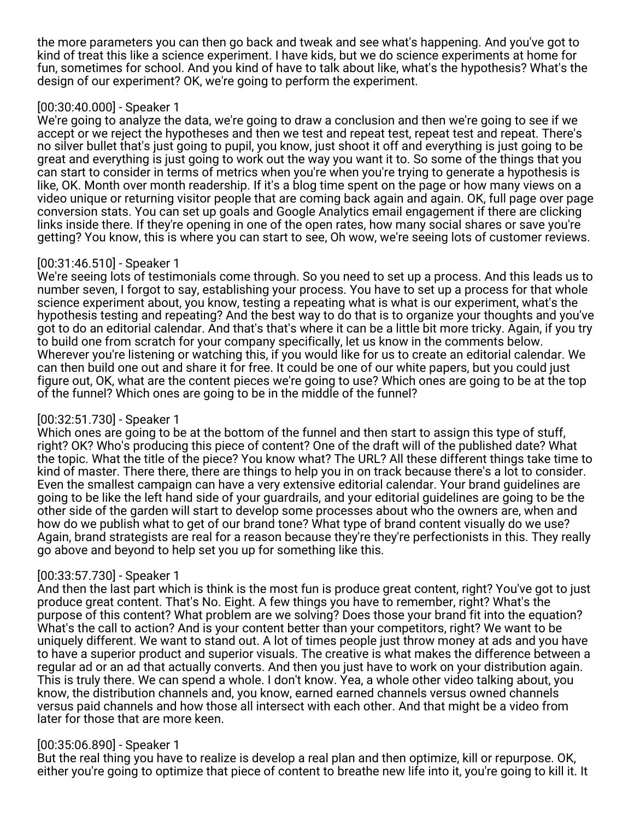the more parameters you can then go back and tweak and see what's happening. And you've got to kind of treat this like a science experiment. I have kids, but we do science experiments at home for fun, sometimes for school. And you kind of have to talk about like, what's the hypothesis? What's the design of our experiment? OK, we're going to perform the experiment.

# [00:30:40.000] - Speaker 1

We're going to analyze the data, we're going to draw a conclusion and then we're going to see if we accept or we reject the hypotheses and then we test and repeat test, repeat test and repeat. There's no silver bullet that's just going to pupil, you know, just shoot it off and everything is just going to be great and everything is just going to work out the way you want it to. So some of the things that you can start to consider in terms of metrics when you're when you're trying to generate a hypothesis is like, OK. Month over month readership. If it's a blog time spent on the page or how many views on a video unique or returning visitor people that are coming back again and again. OK, full page over page conversion stats. You can set up goals and Google Analytics email engagement if there are clicking links inside there. If they're opening in one of the open rates, how many social shares or save you're getting? You know, this is where you can start to see, Oh wow, we're seeing lots of customer reviews.

# [00:31:46.510] - Speaker 1

We're seeing lots of testimonials come through. So you need to set up a process. And this leads us to number seven, I forgot to say, establishing your process. You have to set up a process for that whole science experiment about, you know, testing a repeating what is what is our experiment, what's the hypothesis testing and repeating? And the best way to do that is to organize your thoughts and you've got to do an editorial calendar. And that's that's where it can be a little bit more tricky. Again, if you try to build one from scratch for your company specifically, let us know in the comments below. Wherever you're listening or watching this, if you would like for us to create an editorial calendar. We can then build one out and share it for free. It could be one of our white papers, but you could just figure out, OK, what are the content pieces we're going to use? Which ones are going to be at the top of the funnel? Which ones are going to be in the middle of the funnel?

# [00:32:51.730] - Speaker 1

Which ones are going to be at the bottom of the funnel and then start to assign this type of stuff, right? OK? Who's producing this piece of content? One of the draft will of the published date? What the topic. What the title of the piece? You know what? The URL? All these different things take time to kind of master. There there, there are things to help you in on track because there's a lot to consider. Even the smallest campaign can have a very extensive editorial calendar. Your brand guidelines are going to be like the left hand side of your guardrails, and your editorial guidelines are going to be the other side of the garden will start to develop some processes about who the owners are, when and how do we publish what to get of our brand tone? What type of brand content visually do we use? Again, brand strategists are real for a reason because they're they're perfectionists in this. They really go above and beyond to help set you up for something like this.

## [00:33:57.730] - Speaker 1

And then the last part which is think is the most fun is produce great content, right? You've got to just produce great content. That's No. Eight. A few things you have to remember, right? What's the purpose of this content? What problem are we solving? Does those your brand fit into the equation? What's the call to action? And is your content better than your competitors, right? We want to be uniquely different. We want to stand out. A lot of times people just throw money at ads and you have to have a superior product and superior visuals. The creative is what makes the difference between a regular ad or an ad that actually converts. And then you just have to work on your distribution again. This is truly there. We can spend a whole. I don't know. Yea, a whole other video talking about, you know, the distribution channels and, you know, earned earned channels versus owned channels versus paid channels and how those all intersect with each other. And that might be a video from later for those that are more keen.

# [00:35:06.890] - Speaker 1

But the real thing you have to realize is develop a real plan and then optimize, kill or repurpose. OK, either you're going to optimize that piece of content to breathe new life into it, you're going to kill it. It